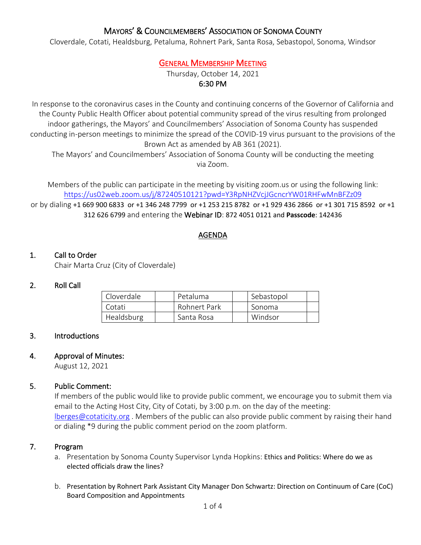# MAYORS' & COUNCILMEMBERS' ASSOCIATION OF SONOMA COUNTY

Cloverdale, Cotati, Healdsburg, Petaluma, Rohnert Park, Santa Rosa, Sebastopol, Sonoma, Windsor

# GENERAL MEMBERSHIP MEETING

Thursday, October 14, 2021 6:30 PM

In response to the coronavirus cases in the County and continuing concerns of the Governor of California and the County Public Health Officer about potential community spread of the virus resulting from prolonged indoor gatherings, the Mayors' and Councilmembers' Association of Sonoma County has suspended conducting in-person meetings to minimize the spread of the COVID-19 virus pursuant to the provisions of the Brown Act as amended by AB 361 (2021).

The Mayors' and Councilmembers' Association of Sonoma County will be conducting the meeting via Zoom.

Members of the public can participate in the meeting by visiting zoom.us or using the following link: <https://us02web.zoom.us/j/87240510121?pwd=Y3RpNHZVcjJGcncrYW01RHFwMnBFZz09>

or by dialing +1 669 900 6833 or +1 346 248 7799 or +1 253 215 8782 or +1 929 436 2866 or +1 301 715 8592 or +1 312 626 6799 and entering the Webinar ID: 872 4051 0121 and **Passcode**: 142436

#### AGENDA

#### 1. Call to Order

Chair Marta Cruz (City of Cloverdale)

#### 2. Roll Call

| Cloverdale | Petaluma     | Sebastopol |  |
|------------|--------------|------------|--|
| Cotati     | Rohnert Park | Sonoma     |  |
| Healdsburg | Santa Rosa   | Windsor    |  |

#### 3. Introductions

## 4. Approval of Minutes:

August 12, 2021

## 5. Public Comment:

If members of the public would like to provide public comment, we encourage you to submit them via email to the Acting Host City, City of Cotati, by 3:00 p.m. on the day of the meeting: [lberges@cotaticity.org](mailto:lberges@cotaticity.org) . Members of the public can also provide public comment by raising their hand or dialing \*9 during the public comment period on the zoom platform.

#### 7. Program

- a. Presentation by Sonoma County Supervisor Lynda Hopkins: Ethics and Politics: Where do we as elected officials draw the lines?
- b. Presentation by Rohnert Park Assistant City Manager Don Schwartz: Direction on Continuum of Care (CoC) Board Composition and Appointments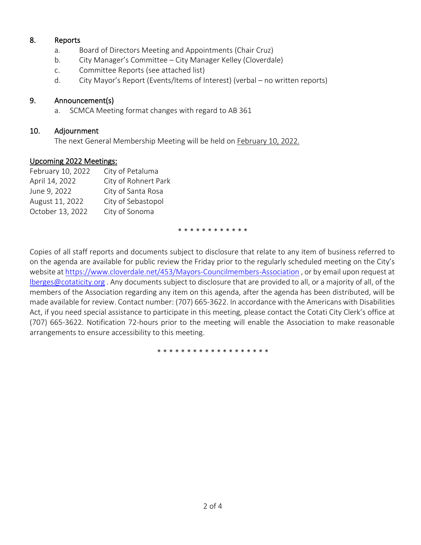## 8. Reports

- a. Board of Directors Meeting and Appointments (Chair Cruz)
- b. City Manager's Committee City Manager Kelley (Cloverdale)
- c. Committee Reports (see attached list)
- d. City Mayor's Report (Events/Items of Interest) (verbal no written reports)

## 9. Announcement(s)

a. SCMCA Meeting format changes with regard to AB 361

## 10. Adjournment

The next General Membership Meeting will be held on February 10, 2022.

## Upcoming 2022 Meetings:

| February 10, 2022 | City of Petaluma     |
|-------------------|----------------------|
| April 14, 2022    | City of Rohnert Park |
| June 9, 2022      | City of Santa Rosa   |
| August 11, 2022   | City of Sebastopol   |
| October 13, 2022  | City of Sonoma       |
|                   |                      |

\* \* \* \* \* \* \* \* \* \* \* \*

Copies of all staff reports and documents subject to disclosure that relate to any item of business referred to on the agenda are available for public review the Friday prior to the regularly scheduled meeting on the City's website at <https://www.cloverdale.net/453/Mayors-Councilmembers-Association> , or by email upon request at [lberges@cotaticity.org](mailto:lberges@cotaticity.org) . Any documents subject to disclosure that are provided to all, or a majority of all, of the members of the Association regarding any item on this agenda, after the agenda has been distributed, will be made available for review. Contact number: (707) 665-3622. In accordance with the Americans with Disabilities Act, if you need special assistance to participate in this meeting, please contact the Cotati City Clerk's office at (707) 665-3622. Notification 72-hours prior to the meeting will enable the Association to make reasonable arrangements to ensure accessibility to this meeting.

\* \* \* \* \* \* \* \* \* \* \* \* \* \* \* \* \* \*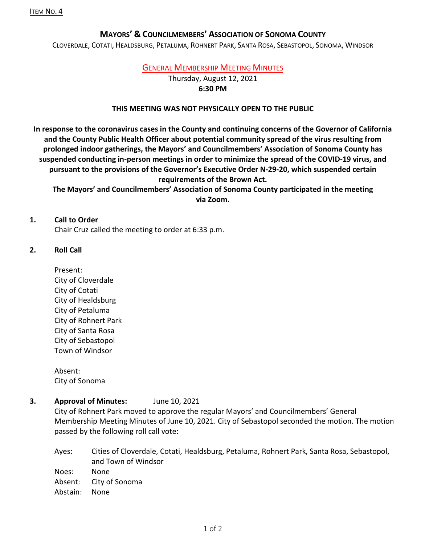# **MAYORS' & COUNCILMEMBERS' ASSOCIATION OF SONOMA COUNTY**

CLOVERDALE, COTATI, HEALDSBURG, PETALUMA, ROHNERT PARK, SANTA ROSA, SEBASTOPOL, SONOMA, WINDSOR

## GENERAL MEMBERSHIP MEETING MINUTES

Thursday, August 12, 2021

# **6:30 PM**

#### **THIS MEETING WAS NOT PHYSICALLY OPEN TO THE PUBLIC**

**In response to the coronavirus cases in the County and continuing concerns of the Governor of California and the County Public Health Officer about potential community spread of the virus resulting from prolonged indoor gatherings, the Mayors' and Councilmembers' Association of Sonoma County has suspended conducting in-person meetings in order to minimize the spread of the COVID-19 virus, and pursuant to the provisions of the Governor's Executive Order N-29-20, which suspended certain requirements of the Brown Act.**

**The Mayors' and Councilmembers' Association of Sonoma County participated in the meeting via Zoom.**

#### **1. Call to Order**

Chair Cruz called the meeting to order at 6:33 p.m.

## **2. Roll Call**

Present: City of Cloverdale City of Cotati City of Healdsburg City of Petaluma City of Rohnert Park City of Santa Rosa City of Sebastopol Town of Windsor

Absent: City of Sonoma

## **3. Approval of Minutes:** June 10, 2021

City of Rohnert Park moved to approve the regular Mayors' and Councilmembers' General Membership Meeting Minutes of June 10, 2021. City of Sebastopol seconded the motion. The motion passed by the following roll call vote:

Ayes: Cities of Cloverdale, Cotati, Healdsburg, Petaluma, Rohnert Park, Santa Rosa, Sebastopol, and Town of Windsor Noes: None Absent: City of Sonoma Abstain: None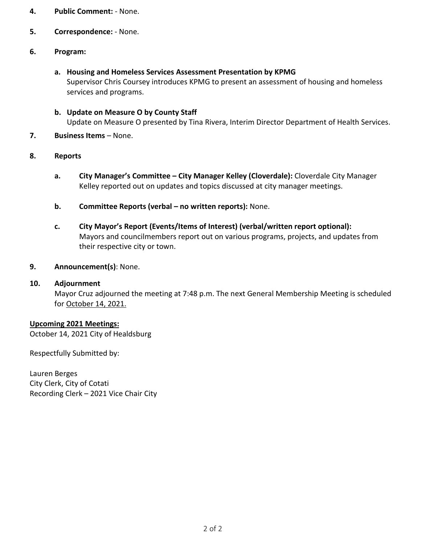- **4. Public Comment:** None.
- **5. Correspondence:** None.

## **6. Program:**

- **a. Housing and Homeless Services Assessment Presentation by KPMG** Supervisor Chris Coursey introduces KPMG to present an assessment of housing and homeless services and programs.
- **b. Update on Measure O by County Staff**  Update on Measure O presented by Tina Rivera, Interim Director Department of Health Services.
- **7. Business Items** None.

#### **8. Reports**

- **a. City Manager's Committee – City Manager Kelley (Cloverdale):** Cloverdale City Manager Kelley reported out on updates and topics discussed at city manager meetings.
- **b. Committee Reports (verbal – no written reports):** None.
- **c. City Mayor's Report (Events/Items of Interest) (verbal/written report optional):** Mayors and councilmembers report out on various programs, projects, and updates from their respective city or town.

#### **9. Announcement(s)**: None.

#### **10. Adjournment**

Mayor Cruz adjourned the meeting at 7:48 p.m. The next General Membership Meeting is scheduled for October 14, 2021.

#### **Upcoming 2021 Meetings:**

October 14, 2021 City of Healdsburg

Respectfully Submitted by:

Lauren Berges City Clerk, City of Cotati Recording Clerk – 2021 Vice Chair City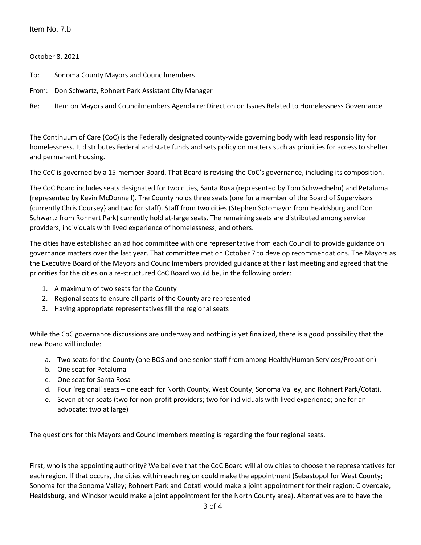### Item No. 7.b

October 8, 2021

- To: Sonoma County Mayors and Councilmembers
- From: Don Schwartz, Rohnert Park Assistant City Manager
- Re: Item on Mayors and Councilmembers Agenda re: Direction on Issues Related to Homelessness Governance

The Continuum of Care (CoC) is the Federally designated county-wide governing body with lead responsibility for homelessness. It distributes Federal and state funds and sets policy on matters such as priorities for access to shelter and permanent housing.

The CoC is governed by a 15-member Board. That Board is revising the CoC's governance, including its composition.

The CoC Board includes seats designated for two cities, Santa Rosa (represented by Tom Schwedhelm) and Petaluma (represented by Kevin McDonnell). The County holds three seats (one for a member of the Board of Supervisors {currently Chris Coursey} and two for staff). Staff from two cities (Stephen Sotomayor from Healdsburg and Don Schwartz from Rohnert Park) currently hold at-large seats. The remaining seats are distributed among service providers, individuals with lived experience of homelessness, and others.

The cities have established an ad hoc committee with one representative from each Council to provide guidance on governance matters over the last year. That committee met on October 7 to develop recommendations. The Mayors as the Executive Board of the Mayors and Councilmembers provided guidance at their last meeting and agreed that the priorities for the cities on a re-structured CoC Board would be, in the following order:

- 1. A maximum of two seats for the County
- 2. Regional seats to ensure all parts of the County are represented
- 3. Having appropriate representatives fill the regional seats

While the CoC governance discussions are underway and nothing is yet finalized, there is a good possibility that the new Board will include:

- a. Two seats for the County (one BOS and one senior staff from among Health/Human Services/Probation)
- b. One seat for Petaluma
- c. One seat for Santa Rosa
- d. Four 'regional' seats one each for North County, West County, Sonoma Valley, and Rohnert Park/Cotati.
- e. Seven other seats (two for non-profit providers; two for individuals with lived experience; one for an advocate; two at large)

The questions for this Mayors and Councilmembers meeting is regarding the four regional seats.

First, who is the appointing authority? We believe that the CoC Board will allow cities to choose the representatives for each region. If that occurs, the cities within each region could make the appointment (Sebastopol for West County; Sonoma for the Sonoma Valley; Rohnert Park and Cotati would make a joint appointment for their region; Cloverdale, Healdsburg, and Windsor would make a joint appointment for the North County area). Alternatives are to have the